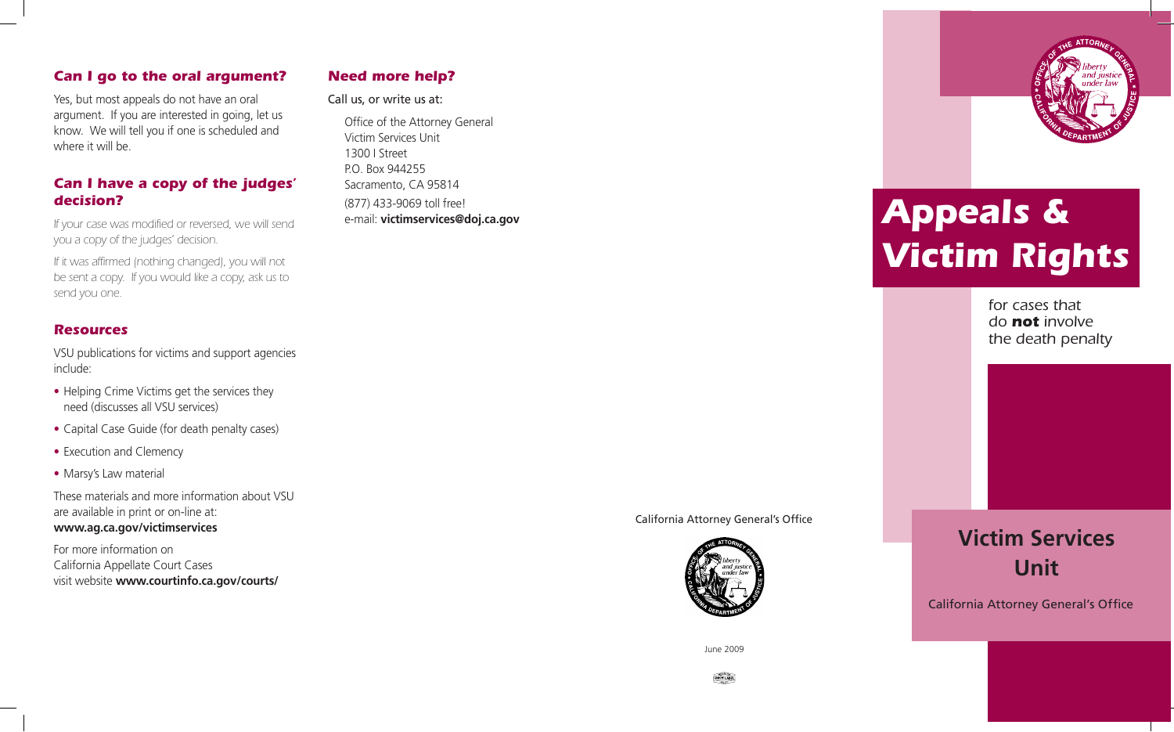## *Can I go to the oral argument?*

 Yes, but most appeals do not have an oral argument. If you are interested in going, let us know. We will tell you if one is scheduled and where it will be.

# *Can I have a copy of the judges' decision?*

 *If your case was modified or reversed, we will send you a copy of the judges' decision.* 

 *If it was affirmed (nothing changed), you will not be sent a copy. If you would like a copy, ask us to send you one.* 

# *Resources*

 VSU publications for victims and support agencies include:

- • Helping Crime Victims get the services they need (discusses all VSU services)
- Capital Case Guide (for death penalty cases)
- Execution and Clemency
- Marsy's Law material

 These materials and more information about VSU are available in print or on-line at: **www.ag.ca.gov/victimservices** 

 For more information on California Appellate Court Cases visit website **www.courtinfo.ca.gov/courts/** 

# *Need more help?*

#### Call us, or write us at:

Office of the Attorney General Victim Services Unit 1300 I Street P.O. Box 944255 Sacramento, CA 95814 (877) 433-9069 toll free! e-mail: **victimservices@doj.ca.gov** 





June 2009





# *Appeals & Victim Rights*

*for cases that do not involve the death penalty* 

**Victim Services Unit** 

California Attorney General's Office